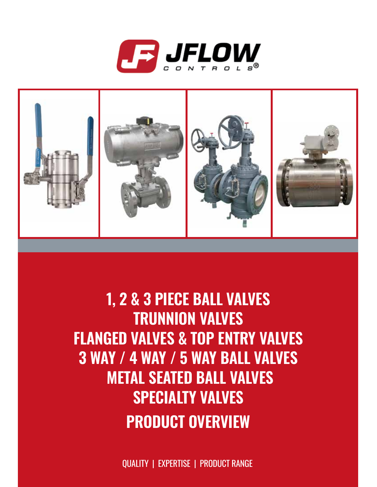



#### **1, 2 & 3 PIECE BALL VALVES TRUNNION VALVES FLANGED VALVES & TOP ENTRY VALVES 3 WAY / 4 WAY / 5 WAY BALL VALVES METAL SEATED BALL VALVES SPECIALTY VALVES PRODUCT OVERVIEW**

QUALITY | EXPERTISE | PRODUCT RANGE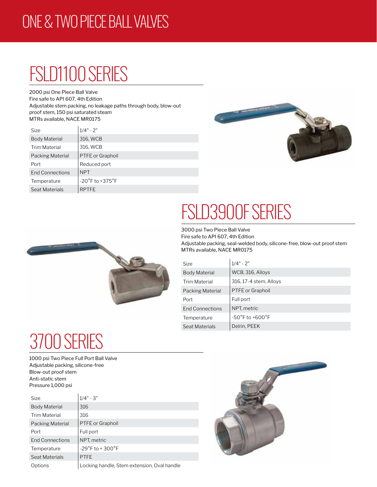#### ONE & TWO PIECE BALL VALVES

## FSLD1100 SERIES

2000 psi One Piece Ball Valve Fire safe to API 607, 4th Edition Adjustable stem packing, no leakage paths through body, blow-out proof stem, 150 psi saturated steam MTRs available, NACE MR0175

| <b>Size</b>            | $1/4" - 2"$                         |
|------------------------|-------------------------------------|
| <b>Body Material</b>   | 316, WCB                            |
| <b>Trim Material</b>   | 316, WCB                            |
| Packing Material       | PTFE or Graphoil                    |
| Port                   | Reduced port                        |
| <b>End Connections</b> | <b>NPT</b>                          |
| Temperature            | $-20^{\circ}$ F to $+375^{\circ}$ F |
| Seat Materials         | <b>RPTFE</b>                        |





# FSLD3900F SERIES

3000 psi Two Piece Ball Valve Fire safe to API 607, 4th Edition Adjustable packing, seal-welded body, silicone-free, blow-out proof stem MTRs available, NACE MR0175

| Size                   | $1/4" - 2"$                         |
|------------------------|-------------------------------------|
| <b>Body Material</b>   | WCB, 316, Alloys                    |
| Trim Material          | 316, 17-4 stem, Alloys              |
| Packing Material       | PTFE or Graphoil                    |
| Port                   | Full port                           |
| <b>End Connections</b> | NPT, metric                         |
| Temperature            | $-50^{\circ}$ F to $+600^{\circ}$ F |
| Seat Materials         | Delrin, PEEK                        |

## 3700 SERIES

1000 psi Two Piece Full Port Ball Valve Adjustable packing, silicone-free Blow-out proof stem Anti-static stem Pressure 1,000 psi

| <b>Size</b>          | $1/4" - 3"$                                 |
|----------------------|---------------------------------------------|
| <b>Body Material</b> | 316                                         |
| <b>Trim Material</b> | 316                                         |
| Packing Material     | <b>PTFE</b> or Graphoil                     |
| Port                 | Full port                                   |
| End Connections      | NPT, metric                                 |
| Temperature          | $-29^{\circ}$ F to + 300 $^{\circ}$ F       |
| Seat Materials       | <b>PTFE</b>                                 |
| Options              | Locking handle, Stem extension, Oval handle |

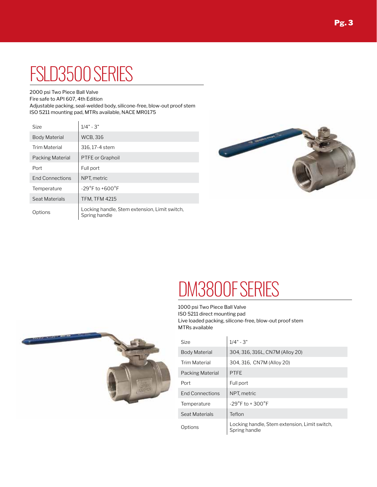## FSLD3500 SERIES

2000 psi Two Piece Ball Valve

Fire safe to API 607, 4th Edition

Adjustable packing, seal-welded body, silicone-free, blow-out proof stem ISO 5211 mounting pad, MTRs available, NACE MR0175

| Size                    | $1/4" - 3"$                                                    |
|-------------------------|----------------------------------------------------------------|
| <b>Body Material</b>    | <b>WCB, 316</b>                                                |
| <b>Trim Material</b>    | 316, 17-4 stem                                                 |
| <b>Packing Material</b> | <b>PTFE</b> or Graphoil                                        |
| Port                    | Full port                                                      |
| <b>End Connections</b>  | NPT, metric                                                    |
| Temperature             | $-29^{\circ}$ F to $+600^{\circ}$ F                            |
| Seat Materials          | <b>TFM, TFM 4215</b>                                           |
| Options                 | Locking handle, Stem extension, Limit switch,<br>Spring handle |



#### DM3800F SERIES

1000 psi Two Piece Ball Valve ISO 5211 direct mounting pad Live loaded packing, silicone-free, blow-out proof stem MTRs available



| Size                   | $1/4" - 3"$                                                    |
|------------------------|----------------------------------------------------------------|
| <b>Body Material</b>   | 304, 316, 316L, CN7M (Alloy 20)                                |
| Trim Material          | 304, 316, CN7M (Alloy 20)                                      |
| Packing Material       | <b>PTFE</b>                                                    |
| Port                   | Full port                                                      |
| <b>End Connections</b> | NPT, metric                                                    |
| Temperature            | $-29^{\circ}$ F to + 300 $^{\circ}$ F                          |
| Seat Materials         | Teflon                                                         |
| Options                | Locking handle, Stem extension, Limit switch,<br>Spring handle |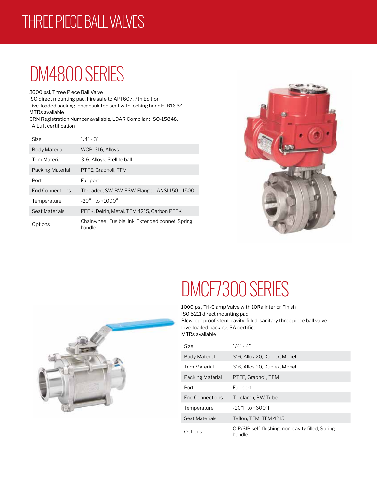#### THREE PIECE BALL VALVES

## DM4800 SERIES

3600 psi, Three Piece Ball Valve

ISO direct mounting pad, Fire safe to API 607, 7th Edition Live-loaded packing, encapsulated seat with locking handle, B16.34 MTRs available

CRN Registration Number available, LDAR Compliant ISO-15848, TA Luft certification

| Size                   | $1/4" - 3"$                                                 |
|------------------------|-------------------------------------------------------------|
| <b>Body Material</b>   | WCB, 316, Alloys                                            |
| Trim Material          | 316, Alloys: Stellite ball                                  |
| Packing Material       | PTFE, Graphoil, TFM                                         |
| Port                   | Full port                                                   |
| <b>End Connections</b> | Threaded, SW, BW, ESW, Flanged ANSI 150 - 1500              |
| Temperature            | $-20^{\circ}$ F to $+1000^{\circ}$ F                        |
| Seat Materials         | PEEK, Delrin, Metal, TFM 4215, Carbon PEEK                  |
| Options                | Chainwheel, Fusible link, Extended bonnet, Spring<br>handle |



# DMCF7300 SERIES

1000 psi, Tri-Clamp Valve with 10Ra Interior Finish ISO 5211 direct mounting pad Blow-out proof stem, cavity-filled, sanitary three piece ball valve Live-loaded packing, 3A certified MTRs available

| Size                   | $1/4" - 4"$                                                |
|------------------------|------------------------------------------------------------|
| <b>Body Material</b>   | 316, Alloy 20, Duplex, Monel                               |
| <b>Trim Material</b>   | 316, Alloy 20, Duplex, Monel                               |
| Packing Material       | PTFE, Graphoil, TFM                                        |
| Port                   | Full port                                                  |
| <b>End Connections</b> | Tri-clamp, BW, Tube                                        |
| Temperature            | $-20^{\circ}$ F to $+600^{\circ}$ F                        |
| Seat Materials         | Teflon, TFM, TFM 4215                                      |
| Options                | CIP/SIP self-flushing, non-cavity filled, Spring<br>handle |

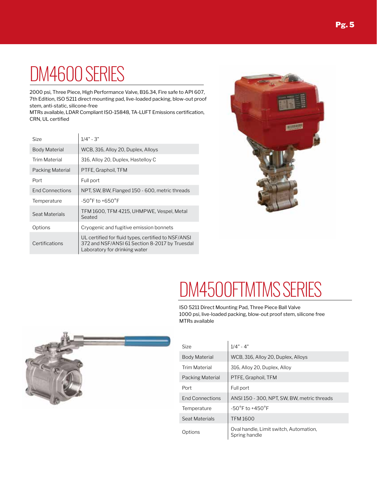### DM4600 SERIES

2000 psi, Three Piece, High Performance Valve, B16.34, Fire safe to API 607, 7th Edition, ISO 5211 direct mounting pad, live-loaded packing, blow-out proof stem, anti-static, silicone-free

MTRs available, LDAR Compliant ISO-15848, TA-LUFT Emissions certification, CRN, UL certified

| Size                   | $1/4" - 3"$                                                                                                                            |
|------------------------|----------------------------------------------------------------------------------------------------------------------------------------|
| <b>Body Material</b>   | WCB, 316, Alloy 20, Duplex, Alloys                                                                                                     |
| <b>Trim Material</b>   | 316, Alloy 20, Duplex, Hastelloy C                                                                                                     |
| Packing Material       | PTFE, Graphoil, TFM                                                                                                                    |
| Port                   | Full port                                                                                                                              |
| <b>End Connections</b> | NPT, SW, BW, Flanged 150 - 600, metric threads                                                                                         |
| Temperature            | $-50^{\circ}$ F to $+650^{\circ}$ F                                                                                                    |
| Seat Materials         | TFM 1600, TFM 4215, UHMPWE, Vespel, Metal<br>Seated                                                                                    |
| Options                | Cryogenic and fugitive emission bonnets                                                                                                |
| Certifications         | UL certified for fluid types, certified to NSF/ANSI<br>372 and NSF/ANSI 61 Section 8-2017 by Truesdal<br>Laboratory for drinking water |



#### DM4500FTMTMS SERIES

ISO 5211 Direct Mounting Pad, Three Piece Ball Valve 1000 psi, live-loaded packing, blow-out proof stem, silicone free MTRs available



| Size                   | $1/4" - 4"$                                             |
|------------------------|---------------------------------------------------------|
| <b>Body Material</b>   | WCB, 316, Alloy 20, Duplex, Alloys                      |
| <b>Trim Material</b>   | 316, Alloy 20, Duplex, Alloy                            |
| Packing Material       | PTFE, Graphoil, TFM                                     |
| Port                   | Full port                                               |
| <b>End Connections</b> | ANSI 150 - 300, NPT, SW, BW, metric threads             |
| Temperature            | $-50^{\circ}$ F to $+450^{\circ}$ F                     |
| Seat Materials         | <b>TFM1600</b>                                          |
| Options                | Oval handle, Limit switch, Automation,<br>Spring handle |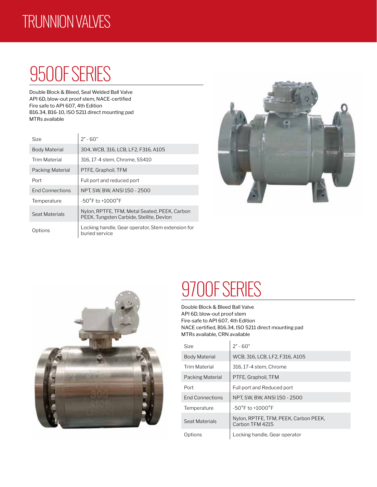#### TRUNNION VALVES

## 9500F SERIES

Double Block & Bleed, Seal Welded Ball Valve API 6D, blow-out proof stem, NACE-certified Fire safe to API 607, 4th Edition B16.34, B16-10, ISO 5211 direct mounting pad MTRs available

| Size:                  | $2" - 60"$                                                                                |
|------------------------|-------------------------------------------------------------------------------------------|
| Body Material          | 304, WCB, 316, LCB, LF2, F316, A105                                                       |
| <b>Trim Material</b>   | 316, 17-4 stem, Chrome, SS410                                                             |
| Packing Material       | PTFE, Graphoil, TFM                                                                       |
| Port                   | Full port and reduced port                                                                |
| <b>End Connections</b> | NPT, SW, BW, ANSI 150 - 2500                                                              |
| Temperature            | $-50^{\circ}$ F to $+1000^{\circ}$ F                                                      |
| Seat Materials         | Nylon, RPTFE, TFM, Metal Seated, PEEK, Carbon<br>PEEK, Tungsten Carbide, Stellite, Devlon |
| Options                | Locking handle, Gear operator, Stem extension for<br>buried service                       |





### 9700F SERIES

Double Block & Bleed Ball Valve API 6D, blow-out proof stem Fire-safe to API 607, 4th Edition NACE certified, B16.34, ISO 5211 direct mounting pad MTRs available, CRN available

 $\overline{1}$ 

| Size                    | $2" - 60"$                                               |
|-------------------------|----------------------------------------------------------|
| <b>Body Material</b>    | WCB, 316, LCB, LF2, F316, A105                           |
| <b>Trim Material</b>    | 316, 17-4 stem, Chrome                                   |
| <b>Packing Material</b> | PTFE, Graphoil, TFM                                      |
| Port                    | Full port and Reduced port                               |
| <b>End Connections</b>  | NPT, SW, BW, ANSI 150 - 2500                             |
| Temperature             | $-50^{\circ}$ F to $+1000^{\circ}$ F                     |
| Seat Materials          | Nylon, RPTFE, TFM, PEEK, Carbon PEEK,<br>Carbon TFM 4215 |
| Options                 | Locking handle, Gear operator                            |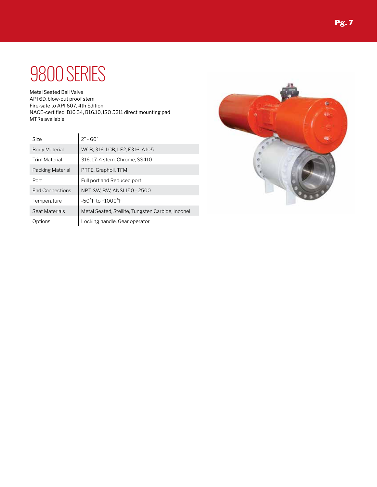#### 9800 SERIES

Metal Seated Ball Valve API 6D, blow-out proof stem Fire-safe to API 607, 4th Edition NACE-certified, B16.34, B16.10, ISO 5211 direct mounting pad MTRs available

| Size                   | $2" - 60"$                                        |
|------------------------|---------------------------------------------------|
| <b>Body Material</b>   | WCB, 316, LCB, LF2, F316, A105                    |
| <b>Trim Material</b>   | 316, 17-4 stem, Chrome, SS410                     |
| Packing Material       | PTFE, Graphoil, TFM                               |
| Port                   | Full port and Reduced port                        |
| <b>End Connections</b> | NPT, SW, BW, ANSI 150 - 2500                      |
| Temperature            | $-50^{\circ}$ F to $+1000^{\circ}$ F              |
| Seat Materials         | Metal Seated, Stellite, Tungsten Carbide, Inconel |
| Options                | Locking handle, Gear operator                     |

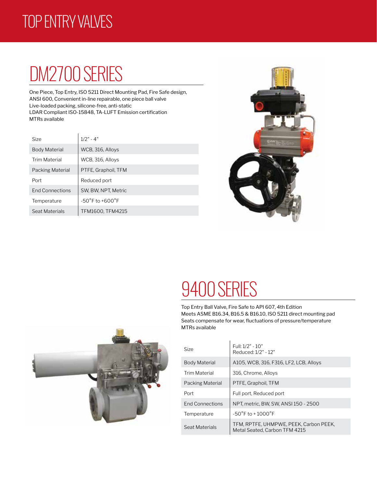#### TOP ENTRY VALVES

## DM2700 SERIES

One Piece, Top Entry, ISO 5211 Direct Mounting Pad, Fire Safe design, ANSI 600, Convenient in-line repairable, one piece ball valve Live-loaded packing, silicone-free, anti-static LDAR Compliant ISO-15848, TA-LUFT Emission certification MTRs available

| <b>Size</b>            | $1/2" - 4"$                         |
|------------------------|-------------------------------------|
| <b>Body Material</b>   | WCB, 316, Alloys                    |
| <b>Trim Material</b>   | WCB, 316, Alloys                    |
| Packing Material       | PTFE, Graphoil, TFM                 |
| Port                   | Reduced port                        |
| <b>End Connections</b> | SW, BW, NPT, Metric                 |
| Temperature            | $-50^{\circ}$ F to $+600^{\circ}$ F |
| Seat Materials         | TFM1600, TFM4215                    |



#### 9400 SERIES

Top Entry Ball Valve, Fire Safe to API 607, 4th Edition Meets ASME B16.34, B16.5 & B16.10, ISO 5211 direct mounting pad Seats compensate for wear, fluctuations of pressure/temperature MTRs available

| <b>Size</b>            | Full: $1/2" - 10"$<br>Reduced: 1/2" - 12"                               |
|------------------------|-------------------------------------------------------------------------|
| Body Material          | A105, WCB, 316, F316, LF2, LCB, Alloys                                  |
| <b>Trim Material</b>   | 316, Chrome, Alloys                                                     |
| Packing Material       | PTFE, Graphoil, TFM                                                     |
| Port                   | Full port, Reduced port                                                 |
| <b>End Connections</b> | NPT, metric, BW, SW, ANSI 150 - 2500                                    |
| Temperature            | $-50^{\circ}$ F to +1000 $^{\circ}$ F                                   |
| Seat Materials         | TFM, RPTFE, UHMPWE, PEEK, Carbon PEEK,<br>Metal Seated. Carbon TFM 4215 |

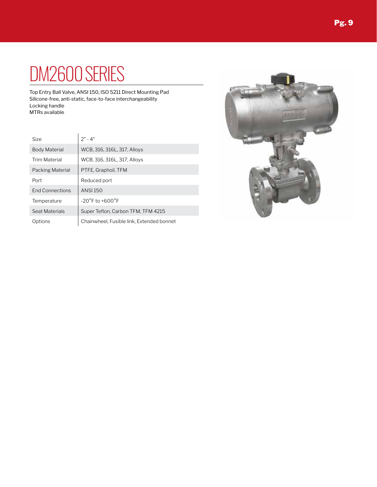## DM2600 SERIES

Top Entry Ball Valve, ANSI 150, ISO 5211 Direct Mounting Pad Silicone-free, anti-static, face-to-face interchangeability Locking handle MTRs available

| <b>Size</b>            | $2" - 4"$                                 |
|------------------------|-------------------------------------------|
| <b>Body Material</b>   | WCB, 316, 316L, 317, Alloys               |
| <b>Trim Material</b>   | WCB, 316, 316L, 317, Alloys               |
| Packing Material       | PTFE, Graphoil, TFM                       |
| Port                   | Reduced port                              |
| <b>End Connections</b> | <b>ANSI 150</b>                           |
| Temperature            | $-20^{\circ}$ F to $+600^{\circ}$ F       |
| Seat Materials         | Super Teflon, Carbon TFM, TFM 4215        |
| Options                | Chainwheel, Fusible link, Extended bonnet |

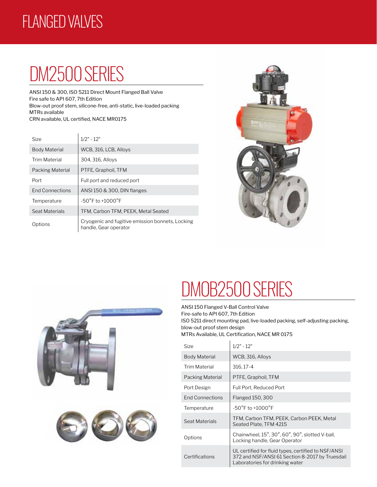#### FLANGED VALVES

## DM2500 SERIES

ANSI 150 & 300, ISO 5211 Direct Mount Flanged Ball Valve Fire safe to API 607, 7th Edition Blow-out proof stem, silicone-free, anti-static, live-loaded packing MTRs available CRN available, UL certified, NACE MR0175

| Size                   | $1/2" - 12"$                                                              |
|------------------------|---------------------------------------------------------------------------|
| <b>Body Material</b>   | WCB, 316, LCB, Alloys                                                     |
| <b>Trim Material</b>   | 304, 316, Alloys                                                          |
| Packing Material       | PTFE, Graphoil, TFM                                                       |
| Port                   | Full port and reduced port                                                |
| <b>End Connections</b> | ANSI 150 & 300, DIN flanges                                               |
| Temperature            | $-50^{\circ}$ F to $+1000^{\circ}$ F                                      |
| Seat Materials         | TFM, Carbon TFM, PEEK, Metal Seated                                       |
| Options                | Cryogenic and fugitive emission bonnets, Locking<br>handle, Gear operator |





## DMOB2500 SERIES

ANSI 150 Flanged V-Ball Control Valve Fire-safe to API 607, 7th Edition ISO 5211 direct mounting pad, live-loaded packing, self-adjusting packing, blow-out proof stem design MTRs Available, UL Certification, NACE MR 0175

| Size                   | $1/2" - 12"$                                                                                                                              |
|------------------------|-------------------------------------------------------------------------------------------------------------------------------------------|
| <b>Body Material</b>   | WCB, 316, Alloys                                                                                                                          |
| Trim Material          | 316, 17-4                                                                                                                                 |
| Packing Material       | PTFE, Graphoil, TFM                                                                                                                       |
| Port Design            | Full Port, Reduced Port                                                                                                                   |
| <b>End Connections</b> | <b>Flanged 150, 300</b>                                                                                                                   |
| Temperature            | $-50^{\circ}$ F to $+1000^{\circ}$ F                                                                                                      |
| Seat Materials         | TFM, Carbon TFM, PEEK, Carbon PEEK, Metal<br>Seated Plate, TFM 4215                                                                       |
| Options                | Chainwheel, 15°, 30°, 60°, 90°, slotted V-ball,<br>Locking handle, Gear Operator                                                          |
| Certifications         | UL certified for fluid types, certified to NSF/ANSI<br>372 and NSF/ANSI 61 Section 8-2017 by Truesdail<br>Laboratories for drinking water |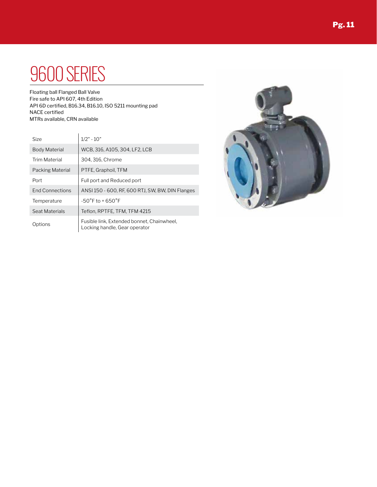#### 9600 SERIES

Floating ball Flanged Ball Valve Fire safe to API 607, 4th Edition API 6D certified, B16.34, B16.10, ISO 5211 mounting pad NACE certified MTRs available, CRN available

| Size                    | $1/2" - 10"$                                                                |
|-------------------------|-----------------------------------------------------------------------------|
| <b>Body Material</b>    | WCB, 316, A105, 304, LF2, LCB                                               |
| <b>Trim Material</b>    | 304, 316, Chrome                                                            |
| <b>Packing Material</b> | PTFE, Graphoil, TFM                                                         |
| Port                    | Full port and Reduced port                                                  |
| <b>End Connections</b>  | ANSI 150 - 600, RF, 600 RTJ, SW, BW, DIN Flanges                            |
| Temperature             | $-50^{\circ}$ F to + 650 $^{\circ}$ F                                       |
| Seat Materials          | Teflon, RPTFE, TFM, TFM 4215                                                |
| Options                 | Fusible link, Extended bonnet, Chainwheel,<br>Locking handle, Gear operator |

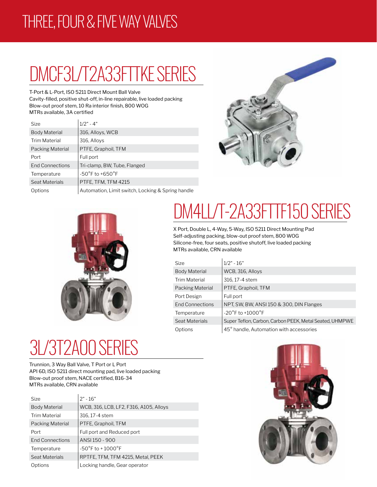#### THREE, FOUR & FIVE WAY VALVES

## DMCF3L/T2A33FTTKE SERIES

T-Port & L-Port, ISO 5211 Direct Mount Ball Valve Cavity-filled, positive shut-off, in-line repairable, live loaded packing Blow-out proof stem, 10 Ra interior finish, 800 WOG MTRs available, 3A certified

| <b>Size</b>            | $1/2" - 4"$                                       |
|------------------------|---------------------------------------------------|
| Body Material          | 316, Alloys, WCB                                  |
| <b>Trim Material</b>   | 316, Alloys                                       |
| Packing Material       | PTFE, Graphoil, TFM                               |
| Port                   | Full port                                         |
| <b>End Connections</b> | Tri-clamp, BW, Tube, Flanged                      |
| Temperature            | $-50^{\circ}$ F to $+650^{\circ}$ F               |
| Seat Materials         | PTFE, TFM, TFM 4215                               |
| Options                | Automation, Limit switch, Locking & Spring handle |





## DM4LL/T-2A33FTTF150 SERIES

X Port, Double L, 4-Way, 5-Way, ISO 5211 Direct Mounting Pad Self-adjusting packing, blow-out proof stem, 800 WOG Silicone-free, four seats, positive shutoff, live loaded packing MTRs available, CRN available

| Size                   | $1/2" - 16"$                                            |
|------------------------|---------------------------------------------------------|
| <b>Body Material</b>   | WCB, 316, Alloys                                        |
| Trim Material          | 316, 17-4 stem                                          |
| Packing Material       | PTFE, Graphoil, TFM                                     |
| Port Design            | Full port                                               |
| <b>End Connections</b> | NPT, SW, BW, ANSI 150 & 300, DIN Flanges                |
| Temperature            | $-20^{\circ}$ F to $+1000^{\circ}$ F                    |
| Seat Materials         | Super Teflon, Carbon, Carbon PEEK, Metal Seated, UHMPWE |
| Options                | 45° handle, Automation with accessories                 |

## 3L/3T2A00 SERIES

Trunnion, 3 Way Ball Valve, T Port or L Port API 6D, ISO 5211 direct mounting pad, live loaded packing Blow-out proof stem, NACE certified, B16-34 MTRs available, CRN available

| Size                   | $2" - 16"$                             |
|------------------------|----------------------------------------|
| <b>Body Material</b>   | WCB, 316, LCB, LF2, F316, A105, Alloys |
| <b>Trim Material</b>   | 316, 17-4 stem                         |
| Packing Material       | PTFE, Graphoil, TFM                    |
| Port                   | Full port and Reduced port             |
| <b>End Connections</b> | ANSI 150 - 900                         |
| Temperature            | $-50^{\circ}$ F to + 1000 $^{\circ}$ F |
| Seat Materials         | RPTFE, TFM, TFM 4215, Metal, PEEK      |
| Options                | Locking handle, Gear operator          |

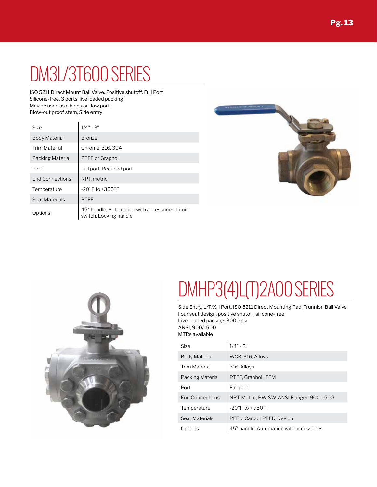ISO 5211 Direct Mount Ball Valve, Positive shutoff, Full Port Silicone-free, 3 ports, live loaded packing May be used as a block or flow port Blow-out proof stem, Side entry

| Size                   | $1/4" - 3"$                                                              |
|------------------------|--------------------------------------------------------------------------|
| <b>Body Material</b>   | <b>Bronze</b>                                                            |
| <b>Trim Material</b>   | Chrome, 316, 304                                                         |
| Packing Material       | <b>PTFE</b> or Graphoil                                                  |
| Port                   | Full port, Reduced port                                                  |
| <b>End Connections</b> | NPT, metric                                                              |
| Temperature            | $-20^{\circ}$ F to $+300^{\circ}$ F                                      |
| Seat Materials         | <b>PTFE</b>                                                              |
| Options                | 45° handle, Automation with accessories, Limit<br>switch, Locking handle |





## $DMHP3(4) L(T) 2AO$

Side Entry, L/T/X, I Port, ISO 5211 Direct Mounting Pad, Trunnion Ball Valve Four seat design, positive shutoff, silicone-free Live-loaded packing, 3000 psi ANSI, 900/1500 MTRs available

l,

| Size                   | $1/4" - 2"$                                 |
|------------------------|---------------------------------------------|
| <b>Body Material</b>   | WCB, 316, Alloys                            |
| Trim Material          | 316, Alloys                                 |
| Packing Material       | PTFE, Graphoil, TFM                         |
| Port                   | Full port                                   |
| <b>End Connections</b> | NPT, Metric, BW, SW, ANSI Flanged 900, 1500 |
| Temperature            | $-20^{\circ}$ F to + 750 $^{\circ}$ F       |
| Seat Materials         | PEEK, Carbon PEEK, Devlon                   |
| Options                | 45° handle, Automation with accessories     |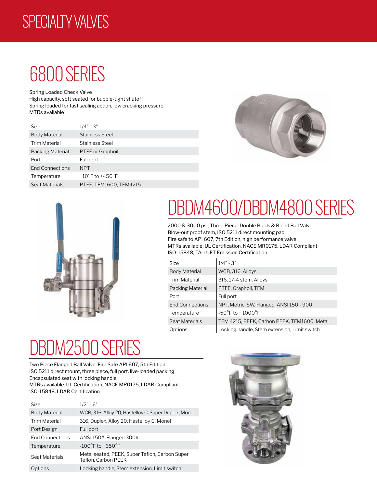#### SPECIALTY VALVES

#### 6800 SERIES

Spring Loaded Check Valve

High capacity, soft seated for bubble-tight shutoff Spring loaded for fast sealing action, low cracking pressure MTRs available

| Size                   | $1/4" - 3"$                         |
|------------------------|-------------------------------------|
| <b>Body Material</b>   | <b>Stainless Steel</b>              |
| <b>Trim Material</b>   | <b>Stainless Steel</b>              |
| Packing Material       | PTFE or Graphoil                    |
| Port                   | Full port                           |
| <b>End Connections</b> | <b>NPT</b>                          |
| Temperature            | +10 $\degree$ F to +450 $\degree$ F |
| Seat Materials         | PTFE, TFM1600, TFM4215              |





## DBDM4600/DBDM4800 SERIES

2000 & 3000 psi, Three Piece, Double Block & Bleed Ball Valve Blow-out proof stem, ISO 5211 direct mounting pad Fire safe to API 607, 7th Edition, high performance valve MTRs available, UL Certification, NACE MR0175, LDAR Compliant ISO-15848, TA-LUFT Emission Certification

| Size                   | $1/4" - 3"$                                  |
|------------------------|----------------------------------------------|
| <b>Body Material</b>   | WCB, 316, Alloys                             |
| Trim Material          | 316, 17-4 stem, Alloys                       |
| Packing Material       | PTFE, Graphoil, TFM                          |
| Port                   | Full port                                    |
| <b>End Connections</b> | NPT, Metric, SW, Flanged, ANSI 150 - 900     |
| Temperature            | $-50^{\circ}$ F to +1000 $^{\circ}$ F        |
| Seat Materials         | TFM 4215, PEEK, Carbon PEEK, TFM1600, Metal  |
| Options                | Locking handle, Stem extension, Limit switch |

## **BDM250**

Two Piece Flanged Ball Valve, Fire Safe API 607, 5th Edition ISO 5211 direct mount, three piece, full port, live-loaded packing Encapsulated seat with locking handle MTRs available. UL Certification, NACE MR0175, LDAR Compliant ISO-15848, LDAR Certification

| <b>Size</b>            | $1/2" - 6"$                                                           |
|------------------------|-----------------------------------------------------------------------|
| <b>Body Material</b>   | WCB, 316, Alloy 20, Hastelloy C, Super Duplex, Monel                  |
| <b>Trim Material</b>   | 316, Duplex, Alloy 20, Hastelloy C, Monel                             |
| Port Design            | Full port                                                             |
| <b>End Connections</b> | ANSI 150#, Flanged 300#                                               |
| Temperature            | $-100^{\circ}$ F to $+650^{\circ}$ F                                  |
| Seat Materials         | Metal seated, PEEK, Super Teflon, Carbon Super<br>Teflon, Carbon PEEK |
| Options                | Locking handle, Stem extension, Limit switch                          |

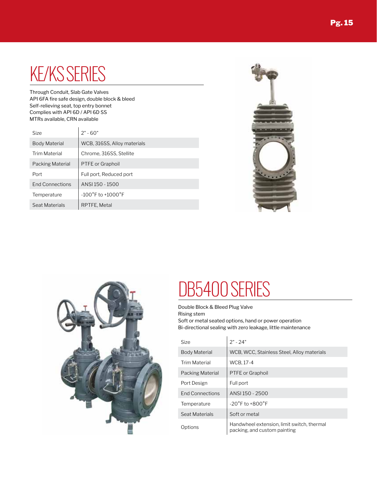#### KE/KS SERIES

Through Conduit, Slab Gate Valves API 6FA fire safe design, double block & bleed Self-relieving seat, top entry bonnet Complies with API 6D / API 6D SS MTRs available, CRN available

| Size                   | $2" - 60"$                            |
|------------------------|---------------------------------------|
| <b>Body Material</b>   | WCB, 316SS, Alloy materials           |
| <b>Trim Material</b>   | Chrome, 316SS, Stellite               |
| Packing Material       | PTFE or Graphoil                      |
| Port                   | Full port, Reduced port               |
| <b>End Connections</b> | ANSI 150 - 1500                       |
| Temperature            | $-100^{\circ}$ F to $+1000^{\circ}$ F |
| Seat Materials         | RPTFE, Metal                          |





#### DB5400 SERIES

Double Block & Bleed Plug Valve Rising stem

Soft or metal seated options, hand or power operation Bi-directional sealing with zero leakage, little maintenance

| Size                   | $2" - 24"$                                                                 |
|------------------------|----------------------------------------------------------------------------|
| <b>Body Material</b>   | WCB, WCC, Stainless Steel, Alloy materials                                 |
| Trim Material          | <b>WCB, 17-4</b>                                                           |
| Packing Material       | <b>PTFE</b> or Graphoil                                                    |
| Port Design            | Full port                                                                  |
| <b>End Connections</b> | ANSI 150 - 2500                                                            |
| Temperature            | $-20^{\circ}$ F to $+800^{\circ}$ F                                        |
| Seat Materials         | Soft or metal                                                              |
| Options                | Handwheel extension, limit switch, thermal<br>packing, and custom painting |
|                        |                                                                            |